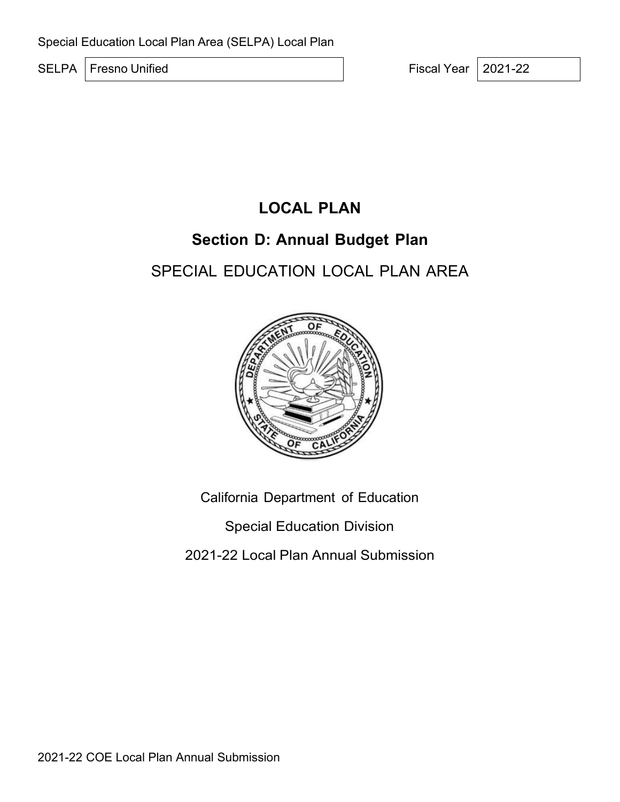SELPA Fresno Unified Fiscal Year 2021-22

# **LOCAL PLAN**

# **Section D: Annual Budget Plan**

# SPECIAL EDUCATION LOCAL PLAN AREA



California Department of Education

Special Education Division

2021-22 Local Plan Annual Submission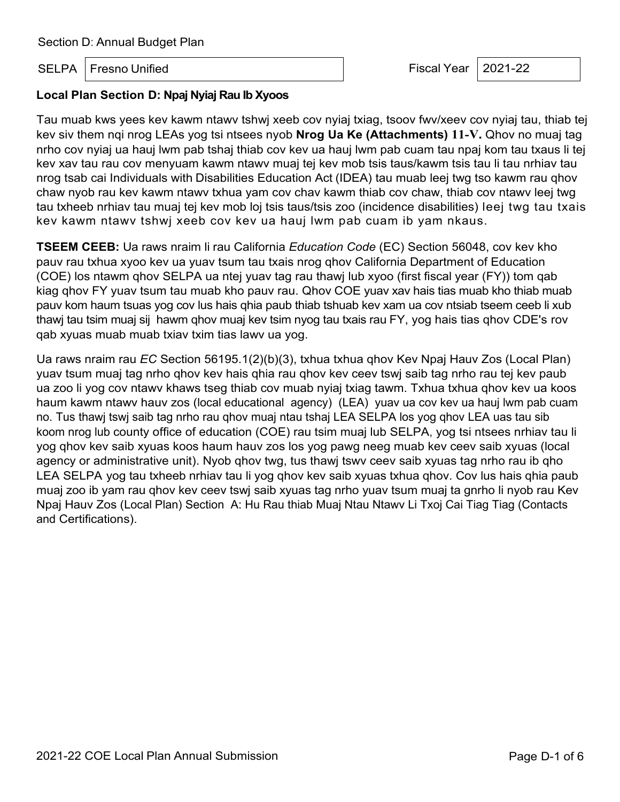SELPA Fresno Unified **Fiscal Year 12021-22** 

#### **Local Plan Section D: Npaj Nyiaj Rau Ib Xyoos**

Tau muab kws yees kev kawm ntawv tshwj xeeb cov nyiaj txiag, tsoov fwv/xeev cov nyiaj tau, thiab tej kev siv them nqi nrog LEAs yog tsi ntsees nyob **Nrog Ua Ke (Attachments) 11-V.** Qhov no muaj tag nrho cov nyiaj ua hauj lwm pab tshaj thiab cov kev ua hauj lwm pab cuam tau npaj kom tau txaus li tej kev xav tau rau cov menyuam kawm ntawv muaj tej kev mob tsis taus/kawm tsis tau li tau nrhiav tau nrog tsab cai Individuals with Disabilities Education Act (IDEA) tau muab leej twg tso kawm rau qhov chaw nyob rau kev kawm ntawv txhua yam cov chav kawm thiab cov chaw, thiab cov ntawv leej twg tau txheeb nrhiav tau muaj tej kev mob loj tsis taus/tsis zoo (incidence disabilities) leej twg tau txais kev kawm ntawv tshwj xeeb cov kev ua hauj lwm pab cuam ib yam nkaus.

**TSEEM CEEB:** Ua raws nraim li rau California *Education Code* (EC) Section 56048, cov kev kho pauv rau txhua xyoo kev ua yuav tsum tau txais nrog qhov California Department of Education (COE) los ntawm qhov SELPA ua ntej yuav tag rau thawj lub xyoo (first fiscal year (FY)) tom qab kiag qhov FY yuav tsum tau muab kho pauv rau. Qhov COE yuav xav hais tias muab kho thiab muab pauv kom haum tsuas yog cov lus hais qhia paub thiab tshuab kev xam ua cov ntsiab tseem ceeb li xub thawj tau tsim muaj sij hawm qhov muaj kev tsim nyog tau txais rau FY, yog hais tias qhov CDE's rov qab xyuas muab muab txiav txim tias lawv ua yog.

Ua raws nraim rau *EC* Section 56195.1(2)(b)(3), txhua txhua qhov Kev Npaj Hauv Zos (Local Plan) yuav tsum muaj tag nrho qhov kev hais qhia rau qhov kev ceev tswj saib tag nrho rau tej kev paub ua zoo li yog cov ntawv khaws tseg thiab cov muab nyiaj txiag tawm. Txhua txhua qhov kev ua koos haum kawm ntawv hauv zos (local educational agency) (LEA) yuav ua cov kev ua hauj lwm pab cuam no. Tus thawj tswj saib tag nrho rau qhov muaj ntau tshaj LEA SELPA los yog qhov LEA uas tau sib koom nrog lub county office of education (COE) rau tsim muaj lub SELPA, yog tsi ntsees nrhiav tau li yog qhov kev saib xyuas koos haum hauv zos los yog pawg neeg muab kev ceev saib xyuas (local agency or administrative unit). Nyob qhov twg, tus thawj tswv ceev saib xyuas tag nrho rau ib qho LEA SELPA yog tau txheeb nrhiav tau li yog qhov kev saib xyuas txhua qhov. Cov lus hais qhia paub muaj zoo ib yam rau qhov kev ceev tswj saib xyuas tag nrho yuav tsum muaj ta gnrho li nyob rau Kev Npaj Hauv Zos (Local Plan) Section A: Hu Rau thiab Muaj Ntau Ntawv Li Txoj Cai Tiag Tiag (Contacts and Certifications).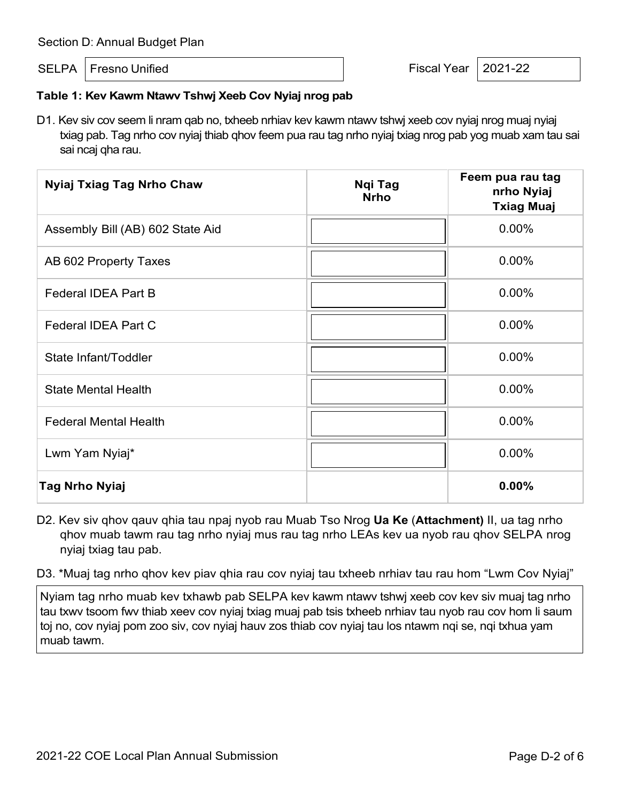SELPA Fresno Unified **Fiscal Year 12021-22** 

### **Table 1: Kev Kawm Ntawv Tshwj Xeeb Cov Nyiaj nrog pab**

D1. Kev siv cov seem li nram qab no, txheeb nrhiav kev kawm ntawv tshwj xeeb cov nyiaj nrog muaj nyiaj txiag pab. Tag nrho cov nyiaj thiab qhov feem pua rau tag nrho nyiaj txiag nrog pab yog muab xam tau sai sai ncaj qha rau.

| <b>Nyiaj Txiag Tag Nrho Chaw</b> | Ngi Tag<br><b>Nrho</b> | Feem pua rau tag<br>nrho Nyiaj<br><b>Txiag Muaj</b> |
|----------------------------------|------------------------|-----------------------------------------------------|
| Assembly Bill (AB) 602 State Aid |                        | 0.00%                                               |
| AB 602 Property Taxes            |                        | 0.00%                                               |
| Federal IDEA Part B              |                        | $0.00\%$                                            |
| Federal IDEA Part C              |                        | 0.00%                                               |
| State Infant/Toddler             |                        | 0.00%                                               |
| <b>State Mental Health</b>       |                        | $0.00\%$                                            |
| <b>Federal Mental Health</b>     |                        | 0.00%                                               |
| Lwm Yam Nyiaj*                   |                        | $0.00\%$                                            |
| <b>Tag Nrho Nyiaj</b>            |                        | 0.00%                                               |

D2. Kev siv qhov qauv qhia tau npaj nyob rau Muab Tso Nrog **Ua Ke** (**Attachment)** II, ua tag nrho qhov muab tawm rau tag nrho nyiaj mus rau tag nrho LEAs kev ua nyob rau qhov SELPA nrog nyiaj txiag tau pab.

D3. \*Muaj tag nrho qhov kev piav qhia rau cov nyiaj tau txheeb nrhiav tau rau hom "Lwm Cov Nyiaj"

Nyiam tag nrho muab kev txhawb pab SELPA kev kawm ntawv tshwj xeeb cov kev siv muaj tag nrho tau txwv tsoom fwv thiab xeev cov nyiaj txiag muaj pab tsis txheeb nrhiav tau nyob rau cov hom li saum toj no, cov nyiaj pom zoo siv, cov nyiaj hauv zos thiab cov nyiaj tau los ntawm nqi se, nqi txhua yam muab tawm.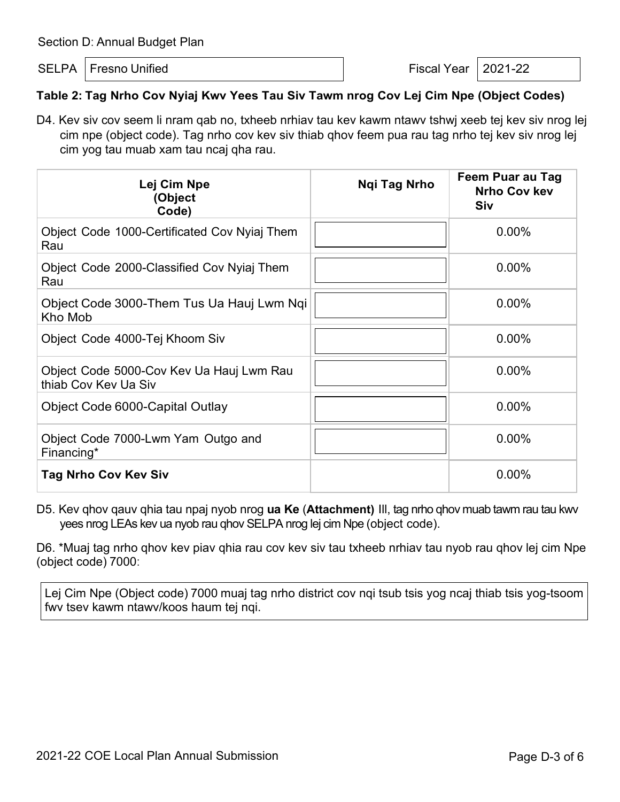SELPA Fresno Unified **Fiscal Year 12021-22** 

## **Table 2: Tag Nrho Cov Nyiaj Kwv Yees Tau Siv Tawm nrog Cov Lej Cim Npe (Object Codes)**

D4. Kev siv cov seem li nram qab no, txheeb nrhiav tau kev kawm ntawv tshwj xeeb tej kev siv nrog lej cim npe (object code). Tag nrho cov kev siv thiab qhov feem pua rau tag nrho tej kev siv nrog lej cim yog tau muab xam tau ncaj qha rau.

| Lej Cim Npe<br>(Object<br>Code)                                  | Ngi Tag Nrho | Feem Puar au Tag<br><b>Nrho Cov kev</b><br><b>Siv</b> |
|------------------------------------------------------------------|--------------|-------------------------------------------------------|
| Object Code 1000-Certificated Cov Nyiaj Them<br>Rau              |              | $0.00\%$                                              |
| Object Code 2000-Classified Cov Nyiaj Them<br>Rau                |              | $0.00\%$                                              |
| Object Code 3000-Them Tus Ua Hauj Lwm Ngi<br>Kho Mob             |              | 0.00%                                                 |
| Object Code 4000-Tej Khoom Siv                                   |              | 0.00%                                                 |
| Object Code 5000-Cov Kev Ua Hauj Lwm Rau<br>thiab Cov Kev Ua Siv |              | 0.00%                                                 |
| Object Code 6000-Capital Outlay                                  |              | 0.00%                                                 |
| Object Code 7000-Lwm Yam Outgo and<br>Financing*                 |              | 0.00%                                                 |
| <b>Tag Nrho Cov Kev Siv</b>                                      |              | 0.00%                                                 |

D5. Kev qhov qauv qhia tau npaj nyob nrog **ua Ke** (**Attachment)** Ill, tag nrho qhov muab tawm rau tau kwv yees nrog LEAs kev ua nyob rau qhov SELPA nrog lej cim Npe (object code).

D6. \*Muaj tag nrho qhov kev piav qhia rau cov kev siv tau txheeb nrhiav tau nyob rau qhov lej cim Npe (object code) 7000:

Lej Cim Npe (Object code) 7000 muaj tag nrho district cov nqi tsub tsis yog ncaj thiab tsis yog-tsoom fwv tsev kawm ntawv/koos haum tej nqi.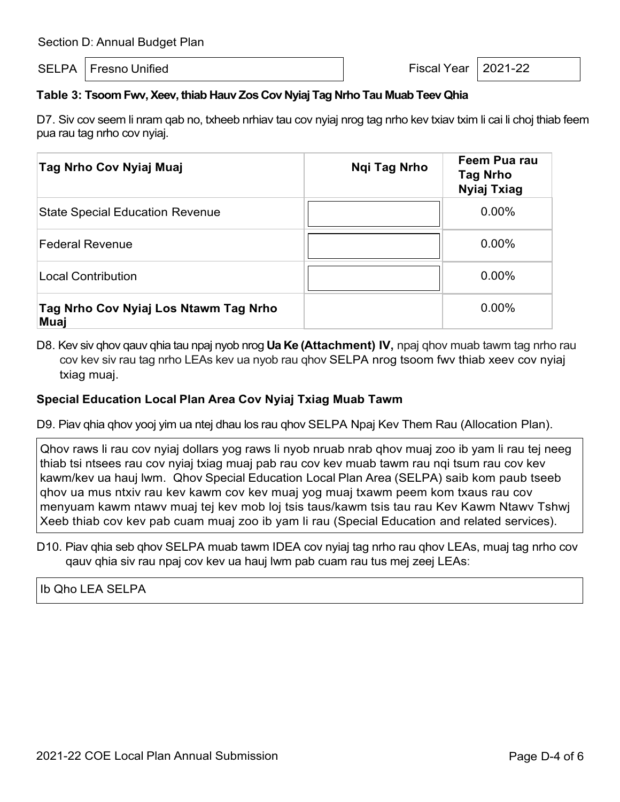SELPA Fresno Unified **Fiscal Year 12021-22** 

## **Table 3: Tsoom Fwv, Xeev, thiab Hauv Zos Cov Nyiaj Tag Nrho Tau Muab Teev Qhia**

D7. Siv cov seem li nram qab no, txheeb nrhiav tau cov nyiaj nrog tag nrho kev txiav txim li cai li choj thiab feem pua rau tag nrho cov nyiaj.

| Tag Nrho Cov Nyiaj Muaj                       | <b>Ngi Tag Nrho</b> | Feem Pua rau<br><b>Tag Nrho</b><br><b>Nyiaj Txiag</b> |
|-----------------------------------------------|---------------------|-------------------------------------------------------|
| <b>State Special Education Revenue</b>        |                     | $0.00\%$                                              |
| <b>Federal Revenue</b>                        |                     | $0.00\%$                                              |
| <b>Local Contribution</b>                     |                     | 0.00%                                                 |
| Tag Nrho Cov Nyiaj Los Ntawm Tag Nrho<br>Muaj |                     | $0.00\%$                                              |

D8. Kev siv qhov qauv qhia tau npaj nyob nrog **Ua Ke (Attachment) IV,** npaj qhov muab tawm tag nrho rau cov kev siv rau tag nrho LEAs kev ua nyob rau qhov SELPA nrog tsoom fwv thiab xeev cov nyiaj txiag muaj.

#### **Special Education Local Plan Area Cov Nyiaj Txiag Muab Tawm**

D9. Piav qhia qhov yooj yim ua ntej dhau los rau qhov SELPA Npaj Kev Them Rau (Allocation Plan).

Qhov raws li rau cov nyiaj dollars yog raws li nyob nruab nrab qhov muaj zoo ib yam li rau tej neeg thiab tsi ntsees rau cov nyiaj txiag muaj pab rau cov kev muab tawm rau nqi tsum rau cov kev kawm/kev ua hauj lwm. Qhov Special Education Local Plan Area (SELPA) saib kom paub tseeb qhov ua mus ntxiv rau kev kawm cov kev muaj yog muaj txawm peem kom txaus rau cov menyuam kawm ntawv muaj tej kev mob loj tsis taus/kawm tsis tau rau Kev Kawm Ntawv Tshwj Xeeb thiab cov kev pab cuam muaj zoo ib yam li rau (Special Education and related services).

D10. Piav qhia seb qhov SELPA muab tawm IDEA cov nyiaj tag nrho rau qhov LEAs, muaj tag nrho cov qauv qhia siv rau npaj cov kev ua hauj lwm pab cuam rau tus mej zeej LEAs:

### Ib Qho LEA SELPA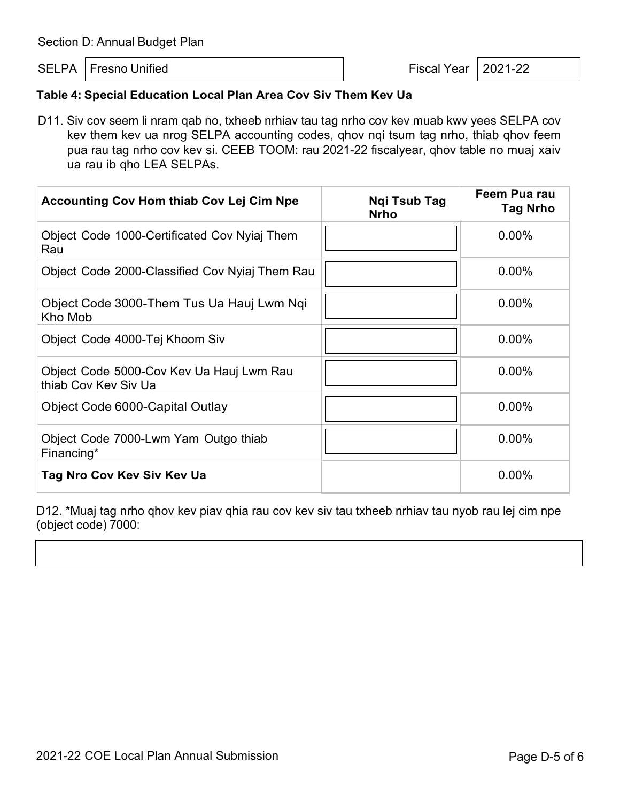SELPA Fresno Unified **Fiscal Year 12021-22** 

# **Table 4: Special Education Local Plan Area Cov Siv Them Kev Ua**

D11. Siv cov seem li nram qab no, txheeb nrhiav tau tag nrho cov kev muab kwv yees SELPA cov kev them kev ua nrog SELPA accounting codes, qhov nqi tsum tag nrho, thiab qhov feem pua rau tag nrho cov kev si. CEEB TOOM: rau 2021-22 fiscalyear, qhov table no muaj xaiv ua rau ib qho LEA SELPAs.

| <b>Accounting Cov Hom thiab Cov Lej Cim Npe</b>                  | Ngi Tsub Tag<br><b>Nrho</b> | Feem Pua rau<br><b>Tag Nrho</b> |
|------------------------------------------------------------------|-----------------------------|---------------------------------|
| Object Code 1000-Certificated Cov Nyiaj Them<br>Rau              |                             | $0.00\%$                        |
| Object Code 2000-Classified Cov Nyiaj Them Rau                   |                             | $0.00\%$                        |
| Object Code 3000-Them Tus Ua Hauj Lwm Ngi<br>Kho Mob             |                             | 0.00%                           |
| Object Code 4000-Tej Khoom Siv                                   |                             | $0.00\%$                        |
| Object Code 5000-Cov Kev Ua Hauj Lwm Rau<br>thiab Cov Kev Siv Ua |                             | $0.00\%$                        |
| Object Code 6000-Capital Outlay                                  |                             | $0.00\%$                        |
| Object Code 7000-Lwm Yam Outgo thiab<br>Financing*               |                             | $0.00\%$                        |
| Tag Nro Cov Kev Siv Kev Ua                                       |                             | 0.00%                           |

D12. \*Muaj tag nrho qhov kev piav qhia rau cov kev siv tau txheeb nrhiav tau nyob rau lej cim npe (object code) 7000: